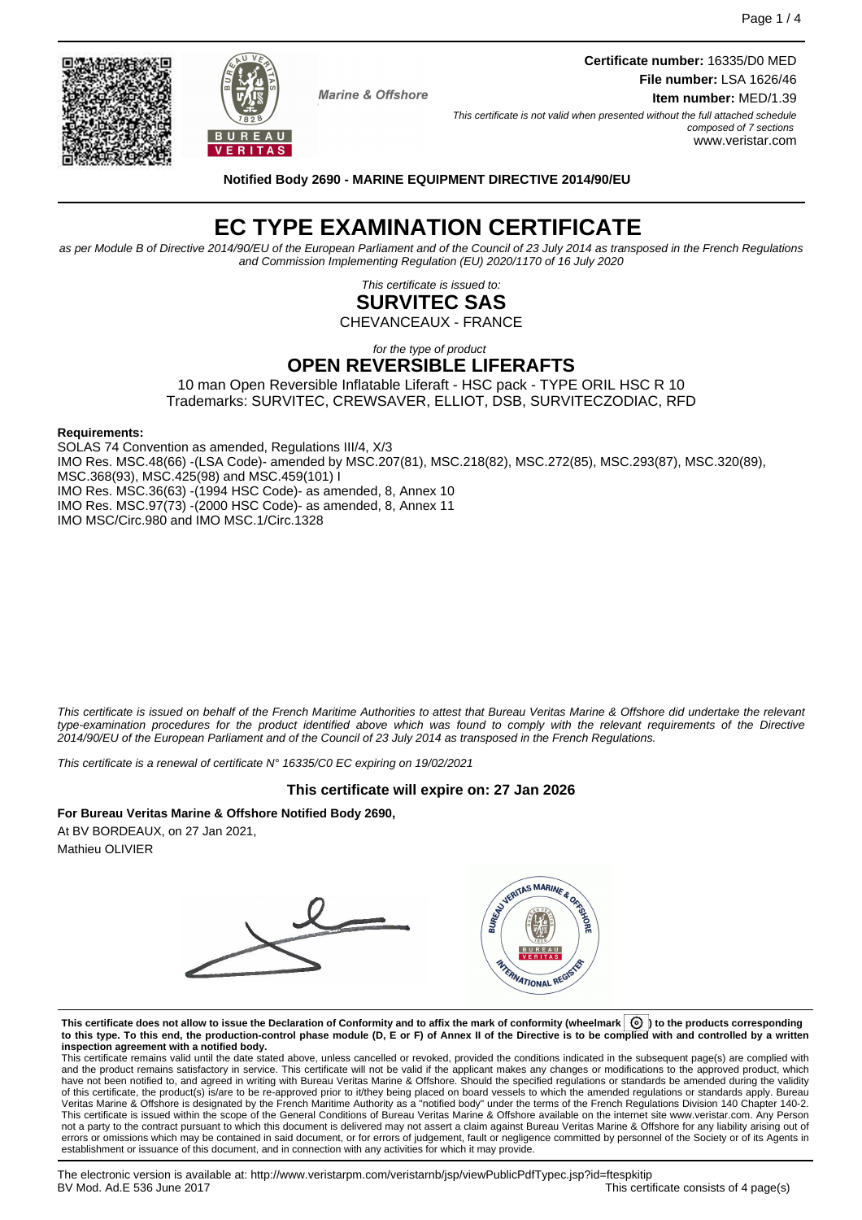Page 1 / 4

**Marine & Offshore** 

**Certificate number:** 16335/D0 MED **File number:** LSA 1626/46 **Item number:** MED/1.39

This certificate is not valid when presented without the full attached schedule

composed of 7 sections www.veristar.com

**Notified Body 2690 - MARINE EQUIPMENT DIRECTIVE 2014/90/EU**

# **EC TYPE EXAMINATION CERTIFICATE**

as per Module B of Directive 2014/90/EU of the European Parliament and of the Council of 23 July 2014 as transposed in the French Regulations and Commission Implementing Regulation (EU) 2020/1170 of 16 July 2020

> This certificate is issued to: **SURVITEC SAS**

CHEVANCEAUX - FRANCE

#### for the type of product **OPEN REVERSIBLE LIFERAFTS**

10 man Open Reversible Inflatable Liferaft - HSC pack - TYPE ORIL HSC R 10 Trademarks: SURVITEC, CREWSAVER, ELLIOT, DSB, SURVITECZODIAC, RFD

### **Requirements:**

SOLAS 74 Convention as amended, Regulations III/4, X/3 IMO Res. MSC.48(66) -(LSA Code)- amended by MSC.207(81), MSC.218(82), MSC.272(85), MSC.293(87), MSC.320(89), MSC.368(93), MSC.425(98) and MSC.459(101) I IMO Res. MSC.36(63) -(1994 HSC Code)- as amended, 8, Annex 10 IMO Res. MSC.97(73) -(2000 HSC Code)- as amended, 8, Annex 11 IMO MSC/Circ.980 and IMO MSC.1/Circ.1328

This certificate is issued on behalf of the French Maritime Authorities to attest that Bureau Veritas Marine & Offshore did undertake the relevant type-examination procedures for the product identified above which was found to comply with the relevant requirements of the Directive 2014/90/EU of the European Parliament and of the Council of 23 July 2014 as transposed in the French Regulations.

This certificate is a renewal of certificate N° 16335/C0 EC expiring on 19/02/2021

# **This certificate will expire on: 27 Jan 2026**

# **For Bureau Veritas Marine & Offshore Notified Body 2690,**

At BV BORDEAUX, on 27 Jan 2021, Mathieu OLIVIER



**This certificate does not allow to issue the Declaration of Conformity and to affix the mark of conformity (wheelmark ) to the products corresponding to this type. To this end, the production-control phase module (D, E or F) of Annex II of the Directive is to be complied with and controlled by a written**

**inspection agreement with a notified body.**<br>This certificate remains valid until the date stated above, unless cancelled or revoked, provided the conditions indicated in the subsequent page(s) are complied with and the product remains satisfactory in service. This certificate will not be valid if the applicant makes any changes or modifications to the approved product, which have not been notified to, and agreed in writing with Bureau Veritas Marine & Offshore. Should the specified regulations or standards be amended during the validity of this certificate, the product(s) is/are to be re-approved prior to it/they being placed on board vessels to which the amended regulations or standards apply. Bureau<br>Veritas Marine & Offshore is designated by the French This certificate is issued within the scope of the General Conditions of Bureau Veritas Marine & Offshore available on the internet site www.veristar.com. Any Person not a party to the contract pursuant to which this document is delivered may not assert a claim against Bureau Veritas Marine & Offshore for any liability arising out of errors or omissions which may be contained in said document, or for errors of judgement, fault or negligence committed by personnel of the Society or of its Agents in establishment or issuance of this document, and in connection with any activities for which it may provide.



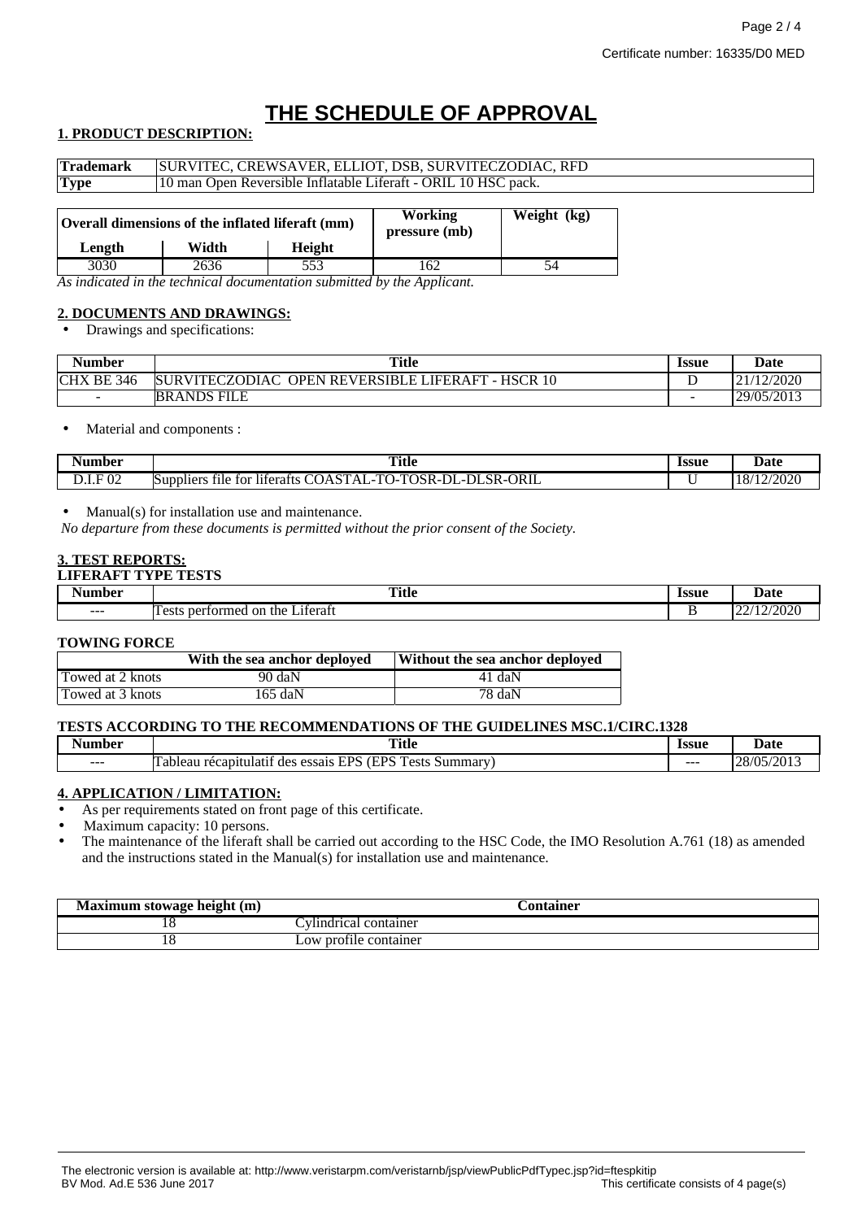# **THE SCHEDULE OF APPROVAL**

# **1. PRODUCT DESCRIPTION:**

| <b>Trademark</b> | SURVITEC, CREWSAVER, ELLIOT, DSB, SURVITECZODIAC, RFD          |               |                          |             |  |
|------------------|----------------------------------------------------------------|---------------|--------------------------|-------------|--|
| <b>Type</b>      | 10 man Open Reversible Inflatable Liferaft - ORIL 10 HSC pack. |               |                          |             |  |
| Length           | Overall dimensions of the inflated liferaft (mm)<br>Width      | <b>Height</b> | Working<br>pressure (mb) | Weight (kg) |  |
| 3030             | 2636                                                           | 553           | 162                      |             |  |

*As indicated in the technical documentation submitted by the Applicant.*

# **2. DOCUMENTS AND DRAWINGS:**

• Drawings and specifications:

| Number            | <b>Title</b>                                                                  | <b>Issue</b> | Date       |
|-------------------|-------------------------------------------------------------------------------|--------------|------------|
| <b>CHX BE 346</b> | <b>HSCR</b><br><b>SURVITECZODIAC</b><br><b>OPEN REVERSIBLE LIFERAFT</b><br>10 |              | /12/2020   |
| $\sim$            | <b>BRANDS FILE</b>                                                            | -            | 29/05/2013 |

• Material and components :

| Aumber                          | <b>Title</b><br>$\sim$ $\sim$                                                                                                                                                                                | <b>Issue</b> | Date            |
|---------------------------------|--------------------------------------------------------------------------------------------------------------------------------------------------------------------------------------------------------------|--------------|-----------------|
| 02<br>. <del>. .</del><br>レ・エ・エ | ORIL<br>T <sub>0</sub><br>$\mathbf{r}$<br>$\sim$<br>$\sim$ $\sim$<br>$\mathbf{m}$<br>וני<br>DF.<br>tor<br>liferafts<br>Suppliers<br>tile.<br>…sk-⊑<br>* JA.<br>. JSK-L<br>$\cdots$<br>- 1<br>--<br>5L<br>. . |              | n noon<br>72020 |

• Manual(s) for installation use and maintenance.

*No departure from these documents is permitted without the prior consent of the Society.*

# **3. TEST REPORTS:**

#### **LIFERAFT TYPE TESTS**

| . .<br>an hor | <b>Title</b><br>$\sim$ $\sim$                         | <b>Issue</b><br>. | 1ote<br>Date             |
|---------------|-------------------------------------------------------|-------------------|--------------------------|
| $- - -$       | $\sim$<br>.1terat<br>$\alpha$<br>ormec<br>the.<br>ner | -                 | 2000<br>$\sim$<br>.<br>. |

#### **TOWING FORCE**

|                  | With the sea anchor deployed | Without the sea anchor deployed |
|------------------|------------------------------|---------------------------------|
| Towed at 2 knots | 90 daN                       | 41 daN                          |
| Towed at 3 knots | 165 daN                      | 78 daN                          |

#### **TESTS ACCORDING TO THE RECOMMENDATIONS OF THE GUIDELINES MSC.1/CIRC.1328**

| $\overline{\phantom{a}}$<br>Number | Title                                                                                                         | <i><u><b>Issue</b></u></i> | Date                                                     |
|------------------------------------|---------------------------------------------------------------------------------------------------------------|----------------------------|----------------------------------------------------------|
| $- - -$                            | TDC.<br>$\overline{ }$<br><b>TPS</b><br>.11atıt<br>Summar<br>recapiti<br>des<br>essais<br>'i adleau<br>.<br>ັ | ---                        | /05/2013<br>$\cap$<br>$\sim$<br>$\overline{\phantom{a}}$ |

#### **4. APPLICATION / LIMITATION:**

As per requirements stated on front page of this certificate.

Maximum capacity: 10 persons.

• The maintenance of the liferaft shall be carried out according to the HSC Code, the IMO Resolution A.761 (18) as amended and the instructions stated in the Manual(s) for installation use and maintenance.

| Maximum stowage height (m) |                                      | <b>Container</b> |  |
|----------------------------|--------------------------------------|------------------|--|
|                            | ∶vlindrical container                |                  |  |
| . .                        | <i>n</i> profile container<br>$L$ OW |                  |  |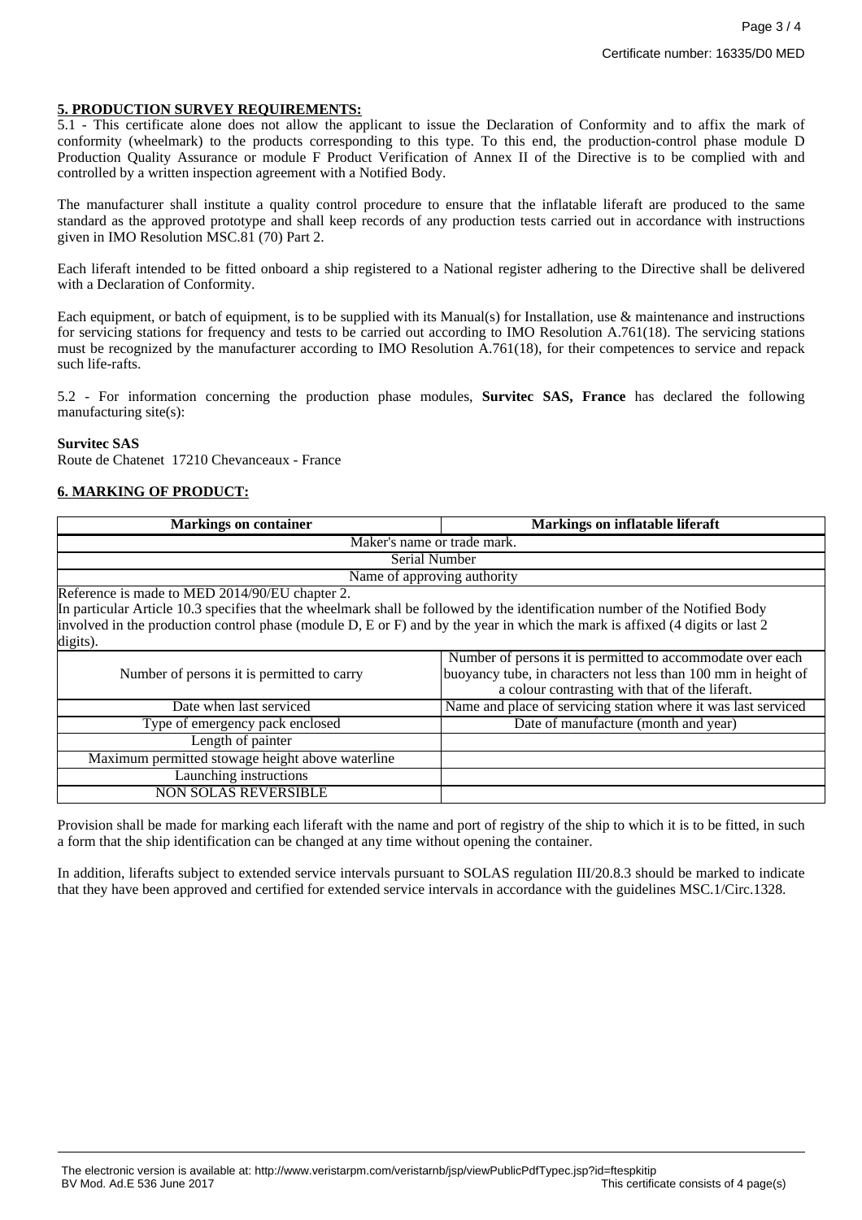# **5. PRODUCTION SURVEY REQUIREMENTS:**

5.1 - This certificate alone does not allow the applicant to issue the Declaration of Conformity and to affix the mark of conformity (wheelmark) to the products corresponding to this type. To this end, the production-control phase module D Production Quality Assurance or module F Product Verification of Annex II of the Directive is to be complied with and controlled by a written inspection agreement with a Notified Body.

The manufacturer shall institute a quality control procedure to ensure that the inflatable liferaft are produced to the same standard as the approved prototype and shall keep records of any production tests carried out in accordance with instructions given in IMO Resolution MSC.81 (70) Part 2.

Each liferaft intended to be fitted onboard a ship registered to a National register adhering to the Directive shall be delivered with a Declaration of Conformity.

Each equipment, or batch of equipment, is to be supplied with its Manual(s) for Installation, use & maintenance and instructions for servicing stations for frequency and tests to be carried out according to IMO Resolution A.761(18). The servicing stations must be recognized by the manufacturer according to IMO Resolution A.761(18), for their competences to service and repack such life-rafts.

5.2 - For information concerning the production phase modules, **Survitec SAS, France** has declared the following manufacturing site(s):

#### **Survitec SAS**

Route de Chatenet 17210 Chevanceaux - France

# **6. MARKING OF PRODUCT:**

| <b>Markings on container</b>                                                                                                         | Markings on inflatable liferaft                                |  |  |
|--------------------------------------------------------------------------------------------------------------------------------------|----------------------------------------------------------------|--|--|
| Maker's name or trade mark.                                                                                                          |                                                                |  |  |
| Serial Number                                                                                                                        |                                                                |  |  |
| Name of approving authority                                                                                                          |                                                                |  |  |
| Reference is made to MED 2014/90/EU chapter 2.                                                                                       |                                                                |  |  |
| In particular Article 10.3 specifies that the wheelmark shall be followed by the identification number of the Notified Body          |                                                                |  |  |
| involved in the production control phase (module $D$ , $E$ or $F$ ) and by the year in which the mark is affixed (4 digits or last 2 |                                                                |  |  |
| digits).                                                                                                                             |                                                                |  |  |
|                                                                                                                                      | Number of persons it is permitted to accommodate over each     |  |  |
| Number of persons it is permitted to carry                                                                                           | buoyancy tube, in characters not less than 100 mm in height of |  |  |
|                                                                                                                                      | a colour contrasting with that of the liferaft.                |  |  |
| Date when last serviced                                                                                                              | Name and place of servicing station where it was last serviced |  |  |
| Type of emergency pack enclosed                                                                                                      | Date of manufacture (month and year)                           |  |  |
| Length of painter                                                                                                                    |                                                                |  |  |
| Maximum permitted stowage height above waterline                                                                                     |                                                                |  |  |
| Launching instructions                                                                                                               |                                                                |  |  |
| <b>NON SOLAS REVERSIBLE</b>                                                                                                          |                                                                |  |  |

Provision shall be made for marking each liferaft with the name and port of registry of the ship to which it is to be fitted, in such a form that the ship identification can be changed at any time without opening the container.

In addition, liferafts subject to extended service intervals pursuant to SOLAS regulation III/20.8.3 should be marked to indicate that they have been approved and certified for extended service intervals in accordance with the guidelines MSC.1/Circ.1328.